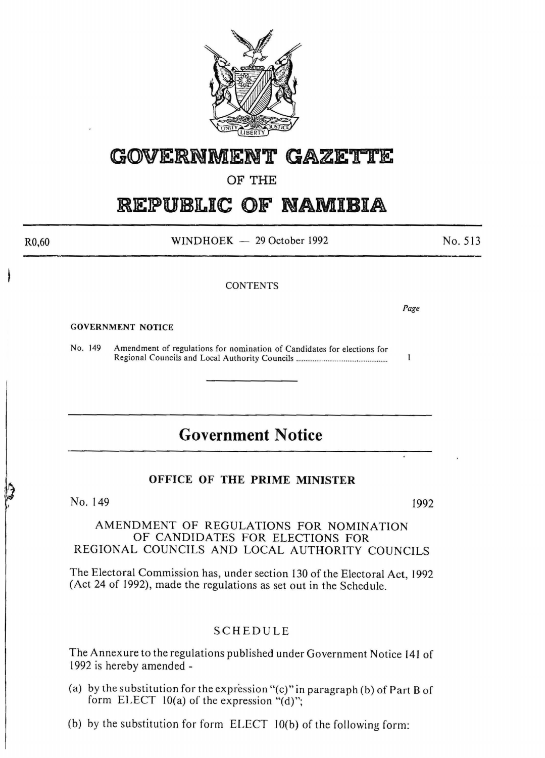

# **GWERNMENT GAZE'rTE**

### OF THE

# **REPUBLIC OF NAMIBIA**

 $WINDHOEK - 29 October 1992$ 

No.513

#### **CONTENTS**

*Page* 

 $\mathbf{I}$ 

#### GOVERNMENT NOTICE

R0,60

No. 149 Amendment of regulations for nomination of Candidates for elections for Regional Councils and Local Authority Councils ................................................. .

# **Government Notice**

### OFFICE OF THE PRIME MINISTER

### No. 149 1992

#### AMENDMENT OF REGULATIONS FOR NOMINATION OF CANDIDATES FOR ELECTIONS FOR REGIONAL COUNCILS AND LOCAL AUTHORITY COUNCILS

The Electoral Commission has, under section 130 of the Electoral Act, 1992 (Act 24 of 1992), made the regulations as set out in the Schedule.

#### SCHEDULE

The Annexure to the regulations published under Government Notice 141 of 1992 is hereby amended -

- (a) by the substitution for the expression "(c)" in paragraph (b) of Part B of form ELECT  $10(a)$  of the expression "(d)";
- (b) by the substitution for form ELECT IO(b) of the following form: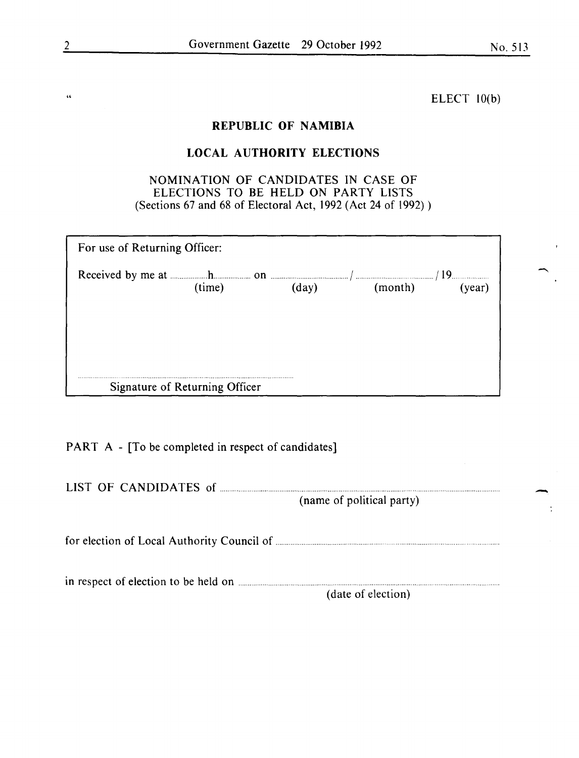" ELECT 10(b)

### REPUBLIC OF NAMIBIA

## LOCAL AUTHORITY ELECTIONS

### NOMINATION OF CANDIDATES IN CASE OF ELECTIONS TO BE HELD ON PARTY LISTS (Sections 67 and 68 of Electoral Act, 1992 (Act 24 of 1992) )

| For use of Returning Officer:                                                                                                |                                |       |         |        |  |  |
|------------------------------------------------------------------------------------------------------------------------------|--------------------------------|-------|---------|--------|--|--|
| Received by me at $\frac{1}{2}$ here is no n $\frac{1}{2}$ and $\frac{1}{2}$ measurement of $\frac{1}{2}$ measurement of 19. | (time)                         | (dav) | (month) | (year) |  |  |
|                                                                                                                              |                                |       |         |        |  |  |
|                                                                                                                              |                                |       |         |        |  |  |
|                                                                                                                              | Signature of Returning Officer |       |         |        |  |  |

PART A - [To be completed in respect of candidates]

| LIST OF CANDIDATES of | (name of political party) |
|-----------------------|---------------------------|
|                       |                           |
|                       | (date of election)        |

-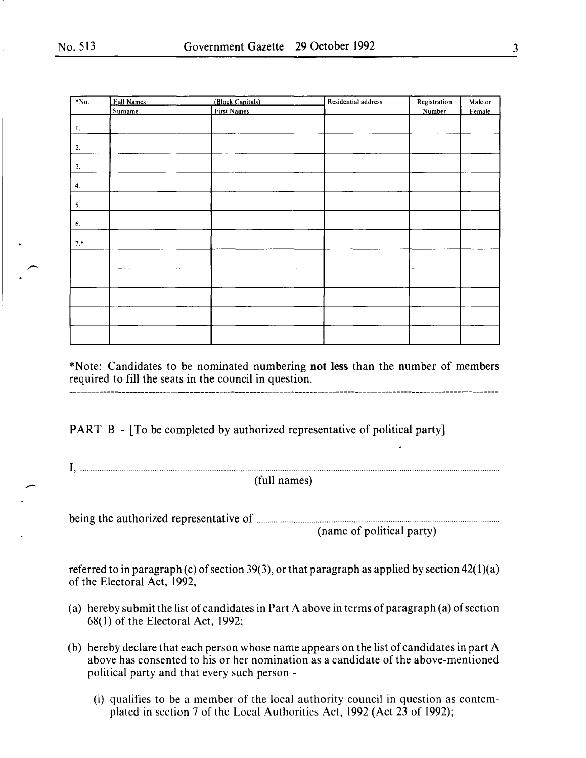$\overline{\phantom{a}}$ 

| $*No.$       | Full Names | (Block Capitals) | Residential address | Registration | Male or |
|--------------|------------|------------------|---------------------|--------------|---------|
|              | Surname    | First Names      |                     | Number       | Female  |
|              |            |                  |                     |              |         |
| $\mathbf{L}$ |            |                  |                     |              |         |
| 2.           |            |                  |                     |              |         |
| 3.           |            |                  |                     |              |         |
| 4.           |            |                  |                     |              |         |
| 5.           |            |                  |                     |              |         |
|              |            |                  |                     |              |         |
| 6.           |            |                  |                     |              |         |
| $7.*$        |            |                  |                     |              |         |
|              |            |                  |                     |              |         |
|              |            |                  |                     |              |         |
|              |            |                  |                     |              |         |
|              |            |                  |                     | $\epsilon$   |         |
|              |            |                  |                     |              |         |
|              |            |                  |                     |              |         |

\*Note: Candidates to be nominated numbering **not** less than the number of members required to fill the seats in the council in question.

PART B - [To be completed by authorized representative of political party]

 $I,$   $\ldots$   $\ldots$   $\ldots$   $\ldots$   $\ldots$   $\ldots$   $\ldots$   $\ldots$   $\ldots$   $\ldots$   $\ldots$   $\ldots$   $\ldots$   $\ldots$   $\ldots$   $\ldots$   $\ldots$   $\ldots$   $\ldots$   $\ldots$   $\ldots$   $\ldots$   $\ldots$   $\ldots$   $\ldots$   $\ldots$   $\ldots$   $\ldots$   $\ldots$   $\ldots$   $\ldots$   $\ldots$   $\ldots$   $\ldots$   $\ldots$   $\ldots$ 

being the authorized representative of ................................................................................................................................. .

(name of political party)

referred to in paragraph (c) of section 39(3), or that paragraph as applied by section  $42(1)(a)$ of the Electoral Act, 1992,

- (a) hereby submit the list of candidates in Part A above in terms of paragraph (a) of section 68( 1) of the Electoral Act, 1992;
- (b) hereby declare that each person whose name appears on the list of candidates in part A above has consented to his or her nomination as a candidate of the above-mentioned political party and that every such person -
	- (i) qualifies to be a member of the local authority council in question as contemplated in section 7 of the Local Authorities Act, 1992 (Act 23 of 1992);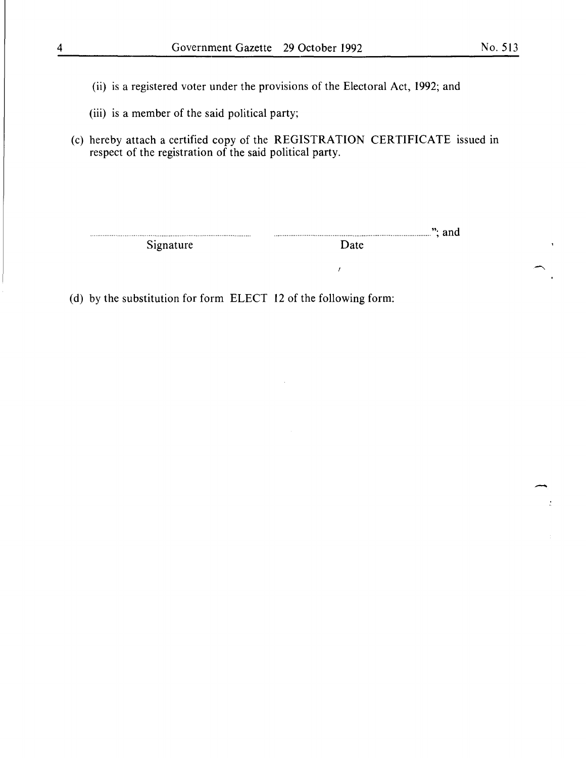-

- (ii) is a registered voter under the provisions of the Electoral Act, 1992; and
- (iii) is a member of the said political party;
- (c) hereby attach a certified copy of the REGISTRATION CERTIFICATE issued in respect of the registration of the said political party.

Signature

example 2.1 and Signature  $\overline{\text{Date}}$  . The Signature  $\overline{\text{Date}}$ 

 $\bar{t}$ 

(d) by the substitution for form ELECT 12 of the following form: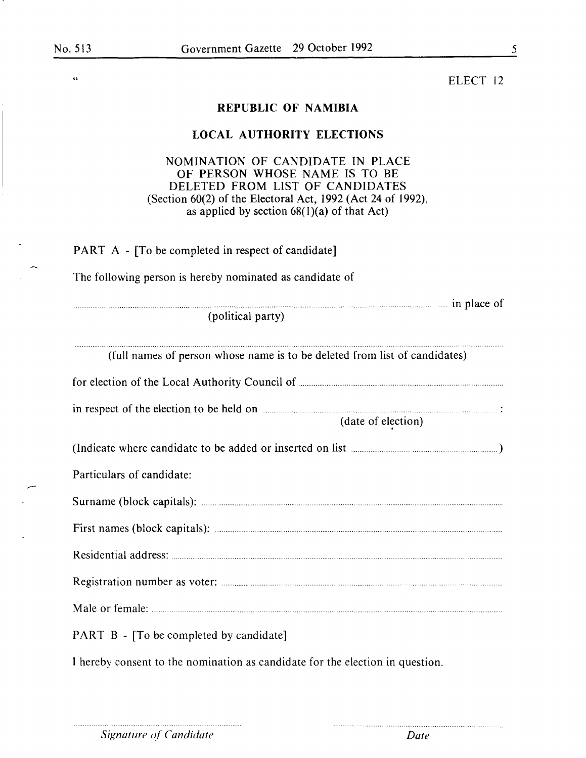$\epsilon$ 

ELECT 12

### **REPUBLIC OF NAMIBIA**

### **LOCAL AUTHORITY ELECTIONS**

### NOMINATION OF CANDIDATE IN PLACE OF PERSON WHOSE NAME IS TO BE DELETED FROM LIST OF CANDIDATES (Section 60(2) of the Electoral Act, 1992 (Act 24 of 1992), as applied by section  $68(1)(a)$  of that Act)

............ in place of

PART A - [To be completed in respect of candidate]

The following person is hereby nominated as candidate of

(political party)

| (full names of person whose name is to be deleted from list of candidates) |
|----------------------------------------------------------------------------|
|                                                                            |
|                                                                            |
| (date of election)                                                         |
|                                                                            |
| Particulars of candidate:                                                  |
|                                                                            |
|                                                                            |
|                                                                            |
|                                                                            |
|                                                                            |
| <b>PART B</b> - [To be completed by candidate]                             |

I hereby consent to the nomination as candidate for the election in question.